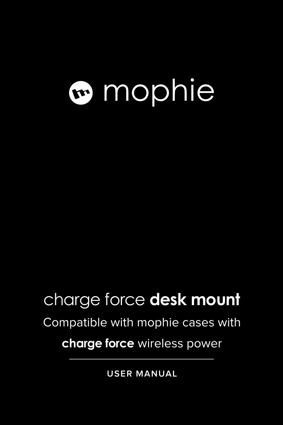# mophie

# charge force **desk mount**

# Compatible with mophie cases with

# **charge force** wireless power

**USER MANUAL**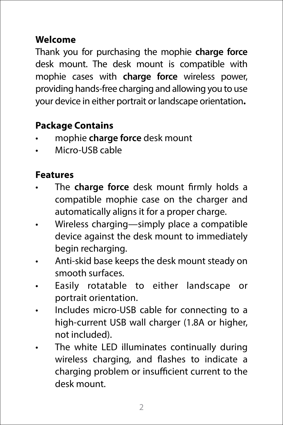## **Welcome**

Thank you for purchasing the mophie **charge force** desk mount. The desk mount is compatible with mophie cases with **charge force** wireless power, providing hands-free charging and allowing you to use your device in either portrait or landscape orientation**.**

## **Package Contains**

- mophie **charge force** desk mount
- Micro-USB cable

#### **Features**

- The **charge force** desk mount firmly holds a compatible mophie case on the charger and automatically aligns it for a proper charge.
- Wireless charging—simply place a compatible device against the desk mount to immediately begin recharging.
- Anti-skid base keeps the desk mount steady on smooth surfaces.
- Easily rotatable to either landscape or portrait orientation.
- Includes micro-USB cable for connecting to a high-current USB wall charger (1.8A or higher, not included).
- The white LED illuminates continually during wireless charging, and flashes to indicate a charging problem or insufficient current to the desk mount.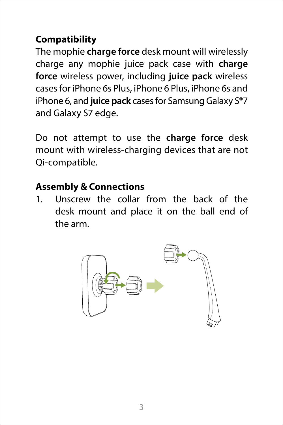# **Compatibility**

The mophie **charge force** desk mount will wirelessly charge any mophie juice pack case with **charge force** wireless power, including **juice pack** wireless cases for iPhone 6s Plus, iPhone 6 Plus, iPhone 6s and iPhone 6, and **juice pack** cases for Samsung Galaxy S®7 and Galaxy S7 edge.

Do not attempt to use the **charge force** desk mount with wireless-charging devices that are not Qi-compatible.

#### **Assembly & Connections**

1. Unscrew the collar from the back of the desk mount and place it on the ball end of the arm.

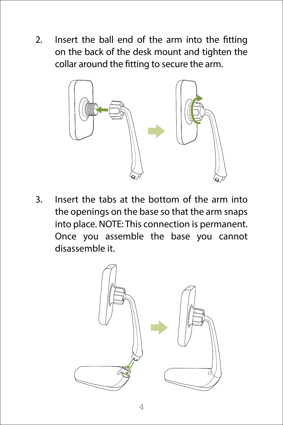2. Insert the ball end of the arm into the fitting on the back of the desk mount and tighten the collar around the fitting to secure the arm.



3. Insert the tabs at the bottom of the arm into the openings on the base so that the arm snaps into place. NOTE: This connection is permanent. Once you assemble the base you cannot disassemble it.

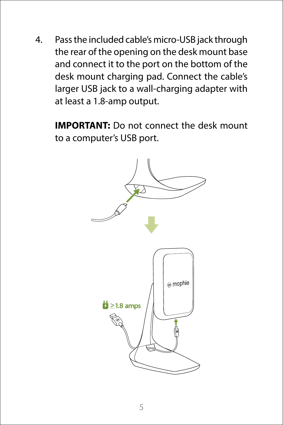4. Pass the included cable's micro-USB jack through the rear of the opening on the desk mount base and connect it to the port on the bottom of the desk mount charging pad. Connect the cable's larger USB jack to a wall-charging adapter with at least a 1.8-amp output.

**IMPORTANT:** Do not connect the desk mount to a computer's USB port.

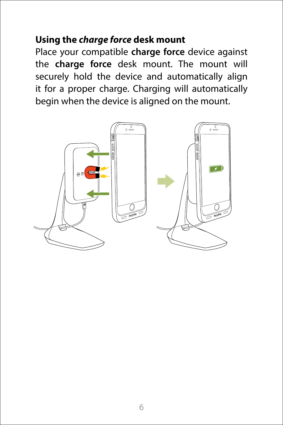## **Using the** *charge force* **desk mount**

Place your compatible **charge force** device against the **charge force** desk mount. The mount will securely hold the device and automatically align it for a proper charge. Charging will automatically begin when the device is aligned on the mount.

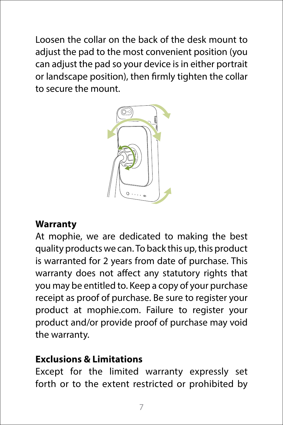Loosen the collar on the back of the desk mount to adjust the pad to the most convenient position (you can adjust the pad so your device is in either portrait or landscape position), then firmly tighten the collar to secure the mount.



#### **Warranty**

At mophie, we are dedicated to making the best quality products we can. To back this up, this product is warranted for 2 years from date of purchase. This warranty does not affect any statutory rights that you may be entitled to. Keep a copy of your purchase receipt as proof of purchase. Be sure to register your product at mophie.com. Failure to register your product and/or provide proof of purchase may void the warranty.

#### **Exclusions & Limitations**

Except for the limited warranty expressly set forth or to the extent restricted or prohibited by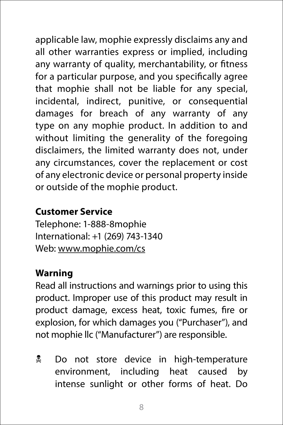applicable law, mophie expressly disclaims any and all other warranties express or implied, including any warranty of quality, merchantability, or fitness for a particular purpose, and you specifically agree that mophie shall not be liable for any special, incidental, indirect, punitive, or consequential damages for breach of any warranty of any type on any mophie product. In addition to and without limiting the generality of the foregoing disclaimers, the limited warranty does not, under any circumstances, cover the replacement or cost of any electronic device or personal property inside or outside of the mophie product.

#### **Customer Service**

Telephone: 1-888-8mophie International: +1 (269) 743-1340 Web: www.mophie.com/cs

#### **Warning**

Read all instructions and warnings prior to using this product. Improper use of this product may result in product damage, excess heat, toxic fumes, fire or explosion, for which damages you ("Purchaser"), and not mophie llc ("Manufacturer") are responsible.

**L** Do not store device in high-temperature environment, including heat caused by intense sunlight or other forms of heat. Do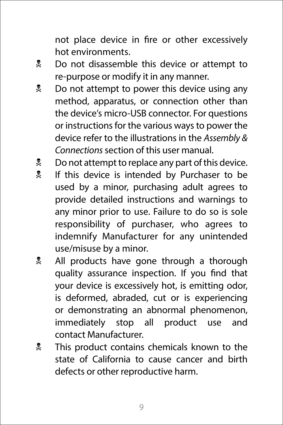not place device in fire or other excessively hot environments.

- **Let** Do not disassemble this device or attempt to re-purpose or modify it in any manner.
- **Do not attempt to power this device using any** method, apparatus, or connection other than the device's micro-USB connector. For questions or instructions for the various ways to power the device refer to the illustrations in the *Assembly & Connections* section of this user manual.
- **Let** Do not attempt to replace any part of this device.
- **If this device is intended by Purchaser to be** used by a minor, purchasing adult agrees to provide detailed instructions and warnings to any minor prior to use. Failure to do so is sole responsibility of purchaser, who agrees to indemnify Manufacturer for any unintended use/misuse by a minor.
- **All products have gone through a thorough** quality assurance inspection. If you find that your device is excessively hot, is emitting odor, is deformed, abraded, cut or is experiencing or demonstrating an abnormal phenomenon, immediately stop all product use and contact Manufacturer.
- **This product contains chemicals known to the** state of California to cause cancer and birth defects or other reproductive harm.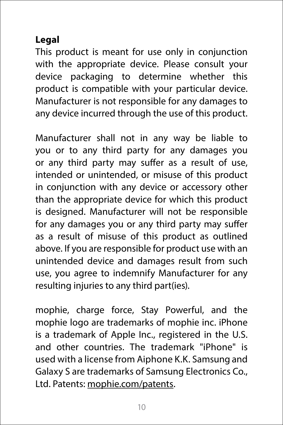# **Legal**

This product is meant for use only in conjunction with the appropriate device. Please consult your device packaging to determine whether this product is compatible with your particular device. Manufacturer is not responsible for any damages to any device incurred through the use of this product.

Manufacturer shall not in any way be liable to you or to any third party for any damages you or any third party may suffer as a result of use, intended or unintended, or misuse of this product in conjunction with any device or accessory other than the appropriate device for which this product is designed. Manufacturer will not be responsible for any damages you or any third party may suffer as a result of misuse of this product as outlined above. If you are responsible for product use with an unintended device and damages result from such use, you agree to indemnify Manufacturer for any resulting injuries to any third part(ies).

mophie, charge force, Stay Powerful, and the mophie logo are trademarks of mophie inc. iPhone is a trademark of Apple Inc., registered in the U.S. and other countries. The trademark "iPhone" is used with a license from Aiphone K.K. Samsung and Galaxy S are trademarks of Samsung Electronics Co., Ltd. Patents: [mophie.com/patents](http://mophie.com/patents).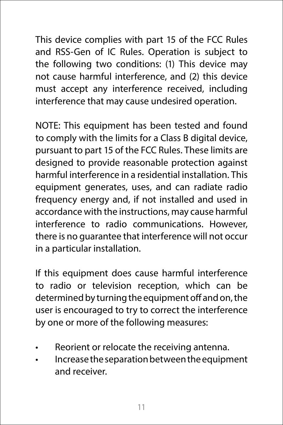This device complies with part 15 of the FCC Rules and RSS-Gen of IC Rules. Operation is subject to the following two conditions: (1) This device may not cause harmful interference, and (2) this device must accept any interference received, including interference that may cause undesired operation.

NOTE: This equipment has been tested and found to comply with the limits for a Class B digital device, pursuant to part 15 of the FCC Rules. These limits are designed to provide reasonable protection against harmful interference in a residential installation. This equipment generates, uses, and can radiate radio frequency energy and, if not installed and used in accordance with the instructions, may cause harmful interference to radio communications. However, there is no guarantee that interference will not occur in a particular installation.

If this equipment does cause harmful interference to radio or television reception, which can be determined by turning the equipment off and on, the user is encouraged to try to correct the interference by one or more of the following measures:

- Reorient or relocate the receiving antenna.
- Increase the separation between the equipment and receiver.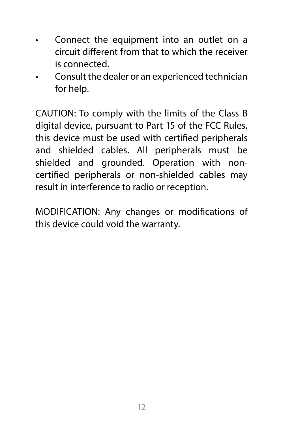- Connect the equipment into an outlet on a circuit different from that to which the receiver is connected.
- Consult the dealer or an experienced technician for help.

CAUTION: To comply with the limits of the Class B digital device, pursuant to Part 15 of the FCC Rules, this device must be used with certified peripherals and shielded cables. All peripherals must be shielded and grounded. Operation with noncertified peripherals or non-shielded cables may result in interference to radio or reception.

MODIFICATION: Any changes or modifications of this device could void the warranty.